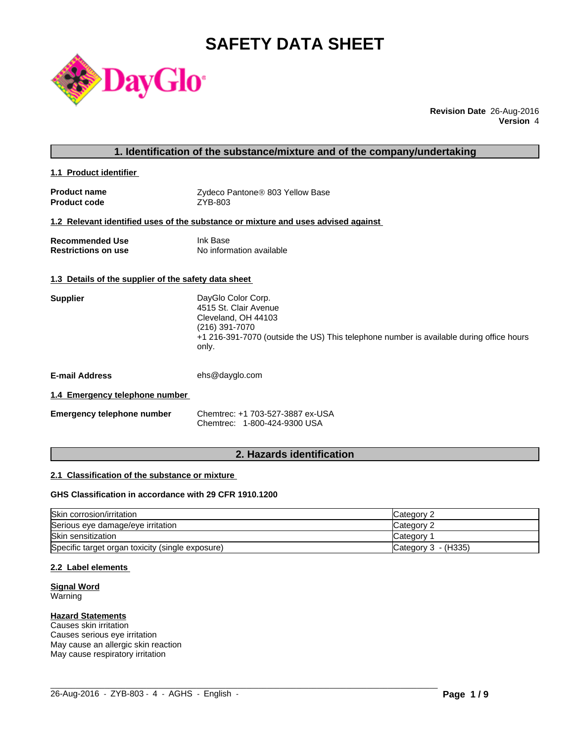# **SAFETY DATA SHEET**



**Revision Date** 26-Aug-2016 **Version** 4

### **1. Identification of the substance/mixture and of the company/undertaking**

**1.1 Product identifier** 

| <b>Product name</b> | Zydeco Pantone® 803 Yellow Base |
|---------------------|---------------------------------|
| <b>Product code</b> | ZYB-803                         |

#### **1.2 Relevant identified uses of the substance or mixture and uses advised against**

| <b>Recommended Use</b>     | Ink Base                 |
|----------------------------|--------------------------|
| <b>Restrictions on use</b> | No information available |

#### **1.3 Details of the supplier of the safety data sheet**

| <b>Supplier</b>       | DayGlo Color Corp.<br>4515 St. Clair Avenue<br>Cleveland, OH 44103<br>(216) 391-7070<br>+1 216-391-7070 (outside the US) This telephone number is available during office hours<br>only. |
|-----------------------|------------------------------------------------------------------------------------------------------------------------------------------------------------------------------------------|
| <b>E-mail Address</b> | ehs@dayglo.com                                                                                                                                                                           |

#### **1.4 Emergency telephone number**

| <b>Emergency telephone number</b> | Chemtrec: +1 703-527-3887 ex-USA |
|-----------------------------------|----------------------------------|
|                                   | Chemtrec: 1-800-424-9300 USA     |

## **2. Hazards identification**

## **2.1 Classification of the substance or mixture**

#### **GHS Classification in accordance with 29 CFR 1910.1200**

| Skin corrosion/irritation                        | Category 2          |
|--------------------------------------------------|---------------------|
| Serious eye damage/eye irritation                | Category 2          |
| <b>Skin sensitization</b>                        | Category 1          |
| Specific target organ toxicity (single exposure) | Category 3 - (H335) |

 $\_$  ,  $\_$  ,  $\_$  ,  $\_$  ,  $\_$  ,  $\_$  ,  $\_$  ,  $\_$  ,  $\_$  ,  $\_$  ,  $\_$  ,  $\_$  ,  $\_$  ,  $\_$  ,  $\_$  ,  $\_$  ,  $\_$  ,  $\_$  ,  $\_$  ,  $\_$  ,  $\_$  ,  $\_$  ,  $\_$  ,  $\_$  ,  $\_$  ,  $\_$  ,  $\_$  ,  $\_$  ,  $\_$  ,  $\_$  ,  $\_$  ,  $\_$  ,  $\_$  ,  $\_$  ,  $\_$  ,  $\_$  ,  $\_$  ,

### **2.2 Label elements**

**Signal Word** Warning

#### **Hazard Statements**

Causes skin irritation Causes serious eye irritation May cause an allergic skin reaction May cause respiratory irritation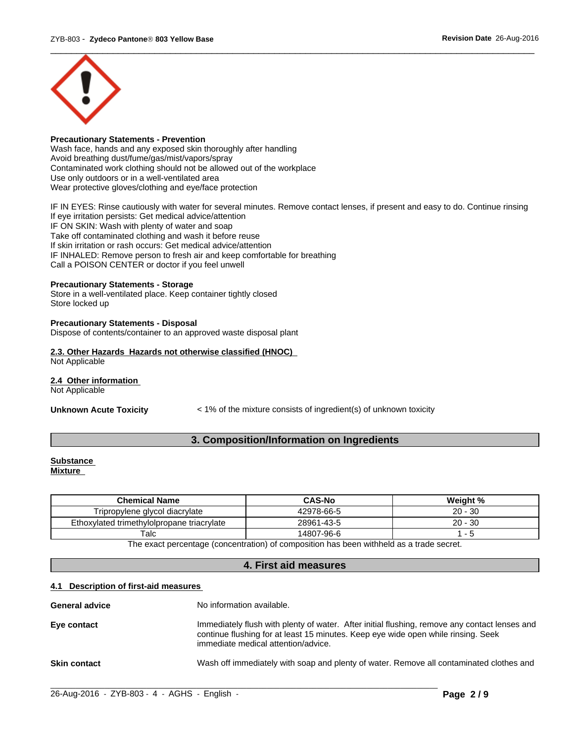

## **Precautionary Statements - Prevention**

Wash face, hands and any exposed skin thoroughly after handling Avoid breathing dust/fume/gas/mist/vapors/spray Contaminated work clothing should not be allowed out of the workplace Use only outdoors or in a well-ventilated area Wear protective gloves/clothing and eye/face protection

IF IN EYES: Rinse cautiously with water for several minutes. Remove contact lenses, if present and easy to do. Continue rinsing If eye irritation persists: Get medical advice/attention IF ON SKIN: Wash with plenty of water and soap Take off contaminated clothing and wash it before reuse If skin irritation or rash occurs: Get medical advice/attention IF INHALED: Remove person to fresh air and keep comfortable for breathing Call a POISON CENTER or doctor if you feel unwell

#### **Precautionary Statements - Storage**

Store in a well-ventilated place. Keep container tightly closed Store locked up

#### **Precautionary Statements - Disposal**

Dispose of contents/container to an approved waste disposal plant

#### **2.3. Other Hazards Hazards not otherwise classified (HNOC)**

Not Applicable

#### **2.4 Other information**

Not Applicable

**Unknown Acute Toxicity** < 1% of the mixture consists of ingredient(s) of unknown toxicity

## **3. Composition/Information on Ingredients**

#### **Substance Mixture**

| <b>Chemical Name</b>                       | <b>CAS-No</b> | Weight %       |
|--------------------------------------------|---------------|----------------|
| Tripropylene glycol diacrylate             | 42978-66-5    | $20 -$<br>∙ 30 |
| Ethoxylated trimethylolpropane triacrylate | 28961-43-5    | 20 -<br>-30    |
| $\mathsf {T}$ alc                          | 14807-96-6    |                |
| $-1$                                       | .<br>.        |                |

The exact percentage (concentration) of composition has been withheld as a trade secret.

## **4. First aid measures**

#### **4.1 Description of first-aid measures**

| <b>General advice</b> | No information available.                                                                                                                                                                                                 |
|-----------------------|---------------------------------------------------------------------------------------------------------------------------------------------------------------------------------------------------------------------------|
| Eye contact           | Immediately flush with plenty of water. After initial flushing, remove any contact lenses and<br>continue flushing for at least 15 minutes. Keep eye wide open while rinsing. Seek<br>immediate medical attention/advice. |
| <b>Skin contact</b>   | Wash off immediately with soap and plenty of water. Remove all contaminated clothes and                                                                                                                                   |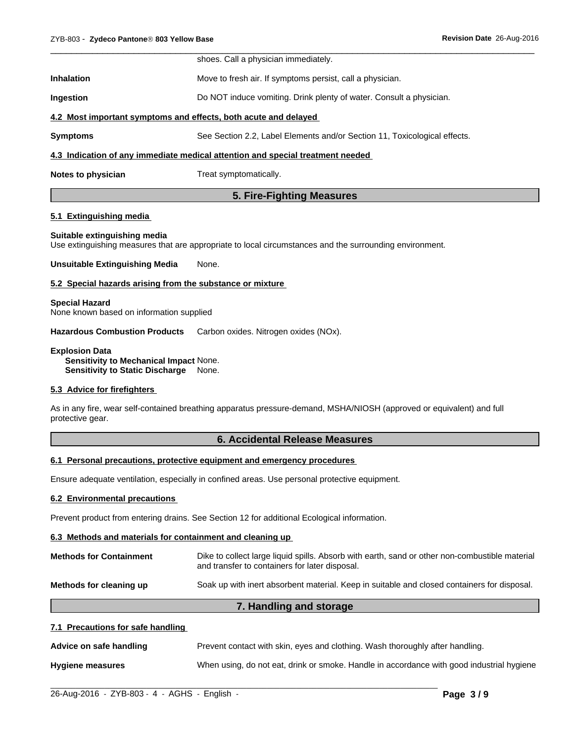|                   | shoes. Call a physician immediately.                                           |
|-------------------|--------------------------------------------------------------------------------|
| <b>Inhalation</b> | Move to fresh air. If symptoms persist, call a physician.                      |
| <b>Ingestion</b>  | Do NOT induce vomiting. Drink plenty of water. Consult a physician.            |
|                   | 4.2 Most important symptoms and effects, both acute and delayed                |
| <b>Symptoms</b>   | See Section 2.2, Label Elements and/or Section 11, Toxicological effects.      |
|                   | 4.3 Indication of any immediate medical attention and special treatment needed |
|                   |                                                                                |

**Notes to physician** Treat symptomatically.

## **5. Fire-Fighting Measures**

#### **5.1 Extinguishing media**

#### **Suitable extinguishing media**

Use extinguishing measures that are appropriate to local circumstances and the surrounding environment.

**Unsuitable Extinguishing Media** None.

#### **5.2 Special hazards arising from the substance or mixture**

**Special Hazard** None known based on information supplied

**Hazardous Combustion Products** Carbon oxides. Nitrogen oxides (NOx).

**Explosion Data Sensitivity to Mechanical Impact** None. **Sensitivity to Static Discharge** None.

### **5.3 Advice for firefighters**

As in any fire, wear self-contained breathing apparatus pressure-demand, MSHA/NIOSH (approved or equivalent) and full protective gear.

### **6. Accidental Release Measures**

#### **6.1 Personal precautions, protective equipment and emergency procedures**

Ensure adequate ventilation, especially in confined areas. Use personal protective equipment.

#### **6.2 Environmental precautions**

Prevent product from entering drains. See Section 12 for additional Ecological information.

#### **6.3 Methods and materials for containment and cleaning up**

| <b>Methods for Containment</b> | Dike to collect large liquid spills. Absorb with earth, sand or other non-combustible material<br>and transfer to containers for later disposal. |
|--------------------------------|--------------------------------------------------------------------------------------------------------------------------------------------------|
| Methods for cleaning up        | Soak up with inert absorbent material. Keep in suitable and closed containers for disposal.                                                      |
|                                | 7. Handling and storage                                                                                                                          |

## **7.1 Precautions for safe handling**

| Advice on safe handling | Prevent contact with skin, eyes and clothing. Wash thoroughly after handling.             |
|-------------------------|-------------------------------------------------------------------------------------------|
| <b>Hygiene measures</b> | When using, do not eat, drink or smoke. Handle in accordance with good industrial hygiene |

 $\_$  ,  $\_$  ,  $\_$  ,  $\_$  ,  $\_$  ,  $\_$  ,  $\_$  ,  $\_$  ,  $\_$  ,  $\_$  ,  $\_$  ,  $\_$  ,  $\_$  ,  $\_$  ,  $\_$  ,  $\_$  ,  $\_$  ,  $\_$  ,  $\_$  ,  $\_$  ,  $\_$  ,  $\_$  ,  $\_$  ,  $\_$  ,  $\_$  ,  $\_$  ,  $\_$  ,  $\_$  ,  $\_$  ,  $\_$  ,  $\_$  ,  $\_$  ,  $\_$  ,  $\_$  ,  $\_$  ,  $\_$  ,  $\_$  ,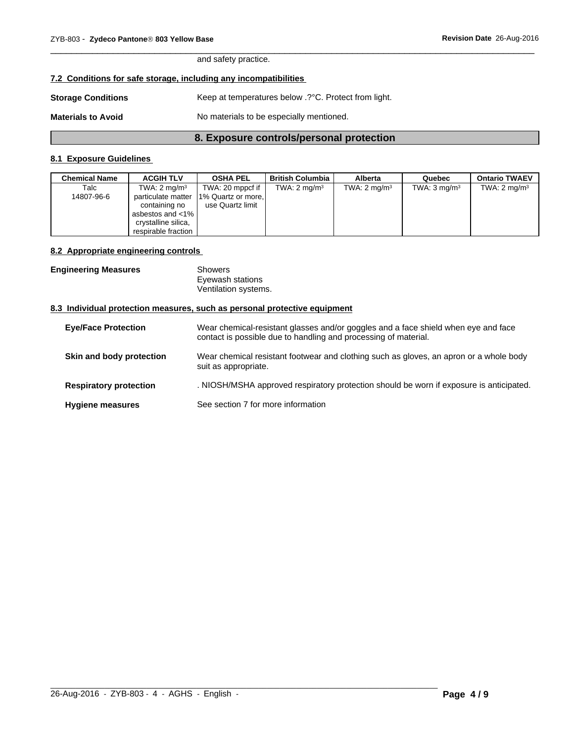and safety practice.

## **7.2 Conditions for safe storage, including any incompatibilities**

| <b>Storage Conditions</b> | Keep at temperatures below .? °C. Protect from light. |
|---------------------------|-------------------------------------------------------|
| <b>Materials to Avoid</b> | No materials to be especially mentioned.              |

## **8. Exposure controls/personal protection**

 $\overline{\phantom{a}}$  ,  $\overline{\phantom{a}}$  ,  $\overline{\phantom{a}}$  ,  $\overline{\phantom{a}}$  ,  $\overline{\phantom{a}}$  ,  $\overline{\phantom{a}}$  ,  $\overline{\phantom{a}}$  ,  $\overline{\phantom{a}}$  ,  $\overline{\phantom{a}}$  ,  $\overline{\phantom{a}}$  ,  $\overline{\phantom{a}}$  ,  $\overline{\phantom{a}}$  ,  $\overline{\phantom{a}}$  ,  $\overline{\phantom{a}}$  ,  $\overline{\phantom{a}}$  ,  $\overline{\phantom{a}}$ 

## **8.1 Exposure Guidelines**

| Chemical Name | <b>ACGIH TLV</b>        | <b>OSHA PEL</b>                       | <b>British Columbia</b> | Alberta                 | Quebec                  | <b>Ontario TWAEV</b>    |
|---------------|-------------------------|---------------------------------------|-------------------------|-------------------------|-------------------------|-------------------------|
| Talc          | TWA: $2 \text{ mg/m}^3$ | TWA: 20 mppcf if                      | TWA: $2 \text{ mg/m}^3$ | TWA: $2 \text{ mq/m}^3$ | TWA: $3 \text{ mg/m}^3$ | TWA: $2 \text{ mg/m}^3$ |
| 14807-96-6    |                         | particulate matter 1% Quartz or more. |                         |                         |                         |                         |
|               | containing no           | use Quartz limit                      |                         |                         |                         |                         |
|               | asbestos and <1%        |                                       |                         |                         |                         |                         |
|               | crystalline silica,     |                                       |                         |                         |                         |                         |
|               | respirable fraction     |                                       |                         |                         |                         |                         |

### **8.2 Appropriate engineering controls**

| <b>Engineering Measures</b> | Showers              |
|-----------------------------|----------------------|
|                             | Eyewash stations     |
|                             | Ventilation systems. |
|                             |                      |

## **8.3 Individual protection measures, such as personal protective equipment**

| <b>Eve/Face Protection</b>    | Wear chemical-resistant glasses and/or goggles and a face shield when eye and face<br>contact is possible due to handling and processing of material. |
|-------------------------------|-------------------------------------------------------------------------------------------------------------------------------------------------------|
| Skin and body protection      | Wear chemical resistant footwear and clothing such as gloves, an apron or a whole body<br>suit as appropriate.                                        |
| <b>Respiratory protection</b> | . NIOSH/MSHA approved respiratory protection should be worn if exposure is anticipated.                                                               |
| <b>Hygiene measures</b>       | See section 7 for more information                                                                                                                    |

 $\_$  ,  $\_$  ,  $\_$  ,  $\_$  ,  $\_$  ,  $\_$  ,  $\_$  ,  $\_$  ,  $\_$  ,  $\_$  ,  $\_$  ,  $\_$  ,  $\_$  ,  $\_$  ,  $\_$  ,  $\_$  ,  $\_$  ,  $\_$  ,  $\_$  ,  $\_$  ,  $\_$  ,  $\_$  ,  $\_$  ,  $\_$  ,  $\_$  ,  $\_$  ,  $\_$  ,  $\_$  ,  $\_$  ,  $\_$  ,  $\_$  ,  $\_$  ,  $\_$  ,  $\_$  ,  $\_$  ,  $\_$  ,  $\_$  ,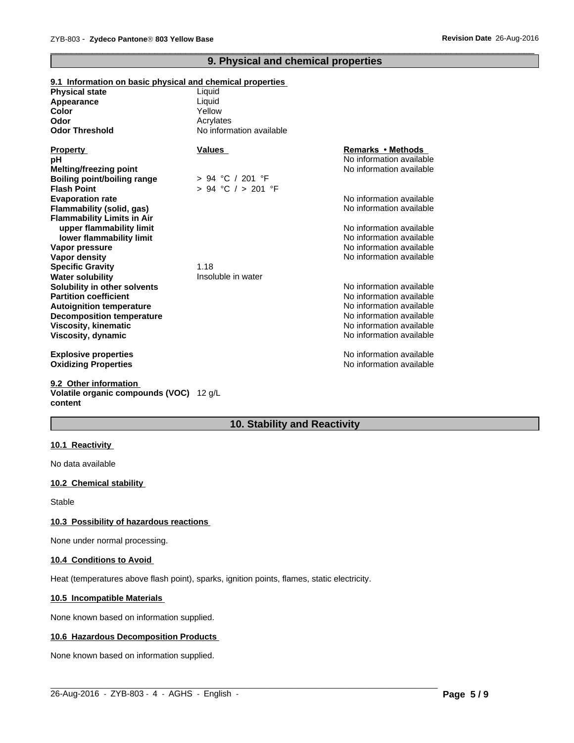## **9. Physical and chemical properties**

 $\overline{\phantom{a}}$  ,  $\overline{\phantom{a}}$  ,  $\overline{\phantom{a}}$  ,  $\overline{\phantom{a}}$  ,  $\overline{\phantom{a}}$  ,  $\overline{\phantom{a}}$  ,  $\overline{\phantom{a}}$  ,  $\overline{\phantom{a}}$  ,  $\overline{\phantom{a}}$  ,  $\overline{\phantom{a}}$  ,  $\overline{\phantom{a}}$  ,  $\overline{\phantom{a}}$  ,  $\overline{\phantom{a}}$  ,  $\overline{\phantom{a}}$  ,  $\overline{\phantom{a}}$  ,  $\overline{\phantom{a}}$ 

| 9.1 Information on basic physical and chemical properties |                          |                          |
|-----------------------------------------------------------|--------------------------|--------------------------|
| <b>Physical state</b>                                     | Liquid                   |                          |
| Appearance                                                | Liquid                   |                          |
| Color                                                     | Yellow                   |                          |
| Odor                                                      | Acrylates                |                          |
| <b>Odor Threshold</b>                                     | No information available |                          |
| <b>Property</b>                                           | <b>Values</b>            | Remarks • Methods        |
| pН                                                        |                          | No information available |
| <b>Melting/freezing point</b>                             |                          | No information available |
| Boiling point/boiling range                               | > 94 °C / 201 °F         |                          |
| <b>Flash Point</b>                                        | $> 94$ °C $/ > 201$ °F   |                          |
| <b>Evaporation rate</b>                                   |                          | No information available |
| Flammability (solid, gas)                                 |                          | No information available |
| <b>Flammability Limits in Air</b>                         |                          |                          |
| upper flammability limit                                  |                          | No information available |
| lower flammability limit                                  |                          | No information available |
| Vapor pressure                                            |                          | No information available |
| Vapor density                                             |                          | No information available |
| <b>Specific Gravity</b>                                   | 1.18                     |                          |
| <b>Water solubility</b>                                   | Insoluble in water       |                          |
| Solubility in other solvents                              |                          | No information available |
| <b>Partition coefficient</b>                              |                          | No information available |
| <b>Autoignition temperature</b>                           |                          | No information available |
| <b>Decomposition temperature</b>                          |                          | No information available |
| Viscosity, kinematic                                      |                          | No information available |
| Viscosity, dynamic                                        |                          | No information available |
| <b>Explosive properties</b>                               |                          | No information available |
| <b>Oxidizing Properties</b>                               |                          | No information available |
|                                                           |                          |                          |

**9.2 Other information Volatile organic compounds (VOC)** 12 g/L **content**

## **10. Stability and Reactivity**

 $\_$  ,  $\_$  ,  $\_$  ,  $\_$  ,  $\_$  ,  $\_$  ,  $\_$  ,  $\_$  ,  $\_$  ,  $\_$  ,  $\_$  ,  $\_$  ,  $\_$  ,  $\_$  ,  $\_$  ,  $\_$  ,  $\_$  ,  $\_$  ,  $\_$  ,  $\_$  ,  $\_$  ,  $\_$  ,  $\_$  ,  $\_$  ,  $\_$  ,  $\_$  ,  $\_$  ,  $\_$  ,  $\_$  ,  $\_$  ,  $\_$  ,  $\_$  ,  $\_$  ,  $\_$  ,  $\_$  ,  $\_$  ,  $\_$  ,

#### **10.1 Reactivity**

No data available

#### **10.2 Chemical stability**

Stable

#### **10.3 Possibility of hazardous reactions**

None under normal processing.

#### **10.4 Conditions to Avoid**

Heat (temperatures above flash point), sparks, ignition points, flames, static electricity.

#### **10.5 Incompatible Materials**

None known based on information supplied.

#### **10.6 Hazardous Decomposition Products**

None known based on information supplied.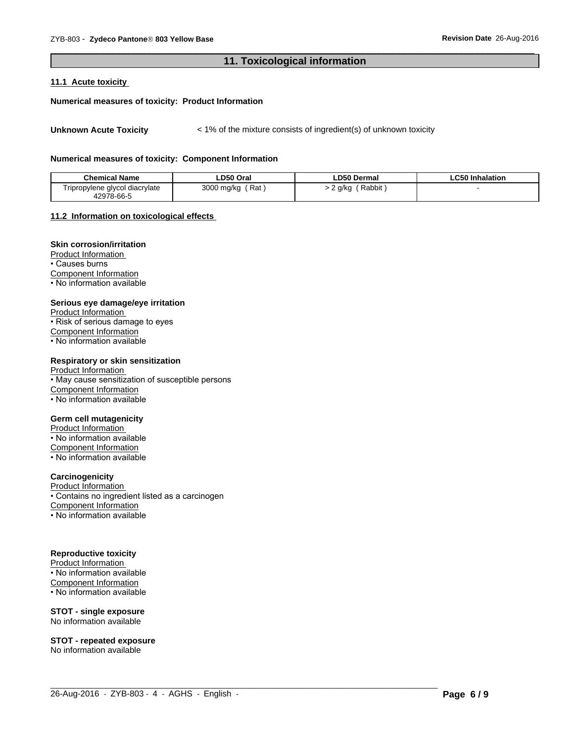### **11. Toxicological information**

 $\overline{\phantom{a}}$  ,  $\overline{\phantom{a}}$  ,  $\overline{\phantom{a}}$  ,  $\overline{\phantom{a}}$  ,  $\overline{\phantom{a}}$  ,  $\overline{\phantom{a}}$  ,  $\overline{\phantom{a}}$  ,  $\overline{\phantom{a}}$  ,  $\overline{\phantom{a}}$  ,  $\overline{\phantom{a}}$  ,  $\overline{\phantom{a}}$  ,  $\overline{\phantom{a}}$  ,  $\overline{\phantom{a}}$  ,  $\overline{\phantom{a}}$  ,  $\overline{\phantom{a}}$  ,  $\overline{\phantom{a}}$ 

#### **11.1 Acute toxicity**

#### **Numerical measures of toxicity: Product Information**

**Unknown Acute Toxicity**  $\lt$  1% of the mixture consists of ingredient(s) of unknown toxicity

#### **Numerical measures of toxicity: Component Information**

| <b>Chemical Name</b>                        | LD50 Oral         | <b>LD50 Dermal</b> | <b>LC50 Inhalation</b> |
|---------------------------------------------|-------------------|--------------------|------------------------|
| $- \cdot$<br>Tripropylene glycol diacrylate | Rat<br>3000 mg/kg | Rabbit<br>g/kg     |                        |
| 42978-66-5                                  |                   |                    |                        |

 $\_$  ,  $\_$  ,  $\_$  ,  $\_$  ,  $\_$  ,  $\_$  ,  $\_$  ,  $\_$  ,  $\_$  ,  $\_$  ,  $\_$  ,  $\_$  ,  $\_$  ,  $\_$  ,  $\_$  ,  $\_$  ,  $\_$  ,  $\_$  ,  $\_$  ,  $\_$  ,  $\_$  ,  $\_$  ,  $\_$  ,  $\_$  ,  $\_$  ,  $\_$  ,  $\_$  ,  $\_$  ,  $\_$  ,  $\_$  ,  $\_$  ,  $\_$  ,  $\_$  ,  $\_$  ,  $\_$  ,  $\_$  ,  $\_$  ,

#### **11.2 Information on toxicological effects**

#### **Skin corrosion/irritation**

Product Information • Causes burns Component Information • No information available

#### **Serious eye damage/eye irritation**

Product Information • Risk of serious damage to eyes Component Information • No information available

#### **Respiratory or skin sensitization**

Product Information • May cause sensitization of susceptible persons Component Information • No information available

#### **Germ cell mutagenicity**

Product Information

• No information available

Component Information • No information available

## **Carcinogenicity**

Product Information • Contains no ingredient listed as a carcinogen Component Information • No information available

#### **Reproductive toxicity**

Product Information  $\overline{\cdot}$  No information available Component Information • No information available

**STOT - single exposure** No information available

**STOT - repeated exposure** No information available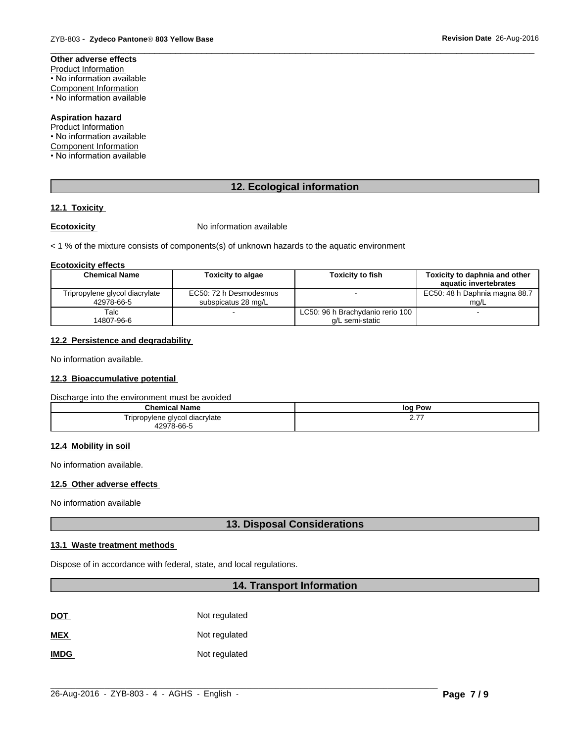## **Other adverse effects**

Product Information • No information available

Component Information

• No information available

## **Aspiration hazard**

Product Information • No information available Component Information • No information available

## **12. Ecological information**

 $\overline{\phantom{a}}$  ,  $\overline{\phantom{a}}$  ,  $\overline{\phantom{a}}$  ,  $\overline{\phantom{a}}$  ,  $\overline{\phantom{a}}$  ,  $\overline{\phantom{a}}$  ,  $\overline{\phantom{a}}$  ,  $\overline{\phantom{a}}$  ,  $\overline{\phantom{a}}$  ,  $\overline{\phantom{a}}$  ,  $\overline{\phantom{a}}$  ,  $\overline{\phantom{a}}$  ,  $\overline{\phantom{a}}$  ,  $\overline{\phantom{a}}$  ,  $\overline{\phantom{a}}$  ,  $\overline{\phantom{a}}$ 

## **12.1 Toxicity**

**Ecotoxicity No information available** 

< 1 % of the mixture consists of components(s) of unknown hazards to the aquatic environment

#### **Ecotoxicity effects**

| <b>Chemical Name</b>                         | <b>Toxicity to algae</b>                      | <b>Toxicity to fish</b>                             | Toxicity to daphnia and other<br>aquatic invertebrates |
|----------------------------------------------|-----------------------------------------------|-----------------------------------------------------|--------------------------------------------------------|
| Tripropylene glycol diacrylate<br>42978-66-5 | EC50: 72 h Desmodesmus<br>subspicatus 28 mg/L |                                                     | EC50: 48 h Daphnia magna 88.7<br>ma/L                  |
| Talc<br>14807-96-6                           |                                               | LC50: 96 h Brachydanio rerio 100<br>a/L semi-static |                                                        |

## **12.2 Persistence and degradability**

No information available.

#### **12.3 Bioaccumulative potential**

Discharge into the environment must be avoided

| <b>Chemical Name</b>           | loa<br>Pow        |
|--------------------------------|-------------------|
| Tripropylene glycol diacrylate | . – –<br><u>.</u> |
| 10070<br>. ನ-66-೯              |                   |

#### **12.4 Mobility in soil**

No information available.

#### **12.5 Other adverse effects**

No information available

## **13. Disposal Considerations**

#### **13.1 Waste treatment methods**

Dispose of in accordance with federal, state, and local regulations.

## **14. Transport Information**

MEX **MEX** Not regulated

**IMDG** Not regulated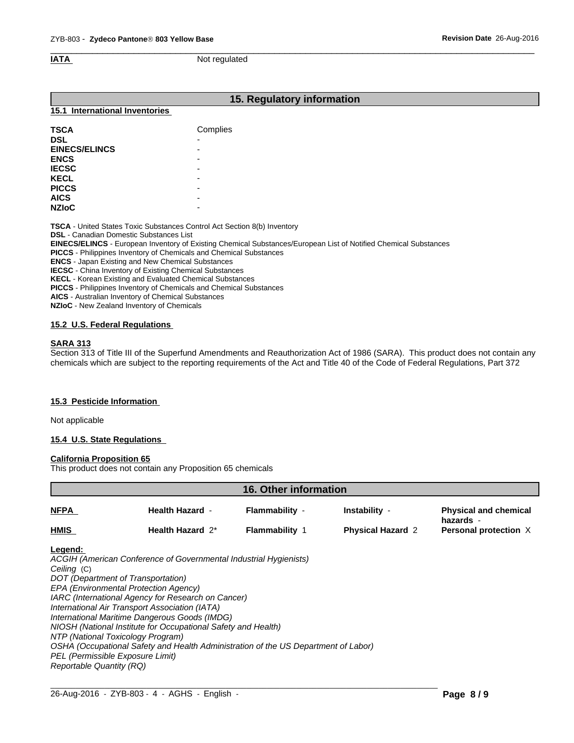$\overline{\phantom{a}}$  ,  $\overline{\phantom{a}}$  ,  $\overline{\phantom{a}}$  ,  $\overline{\phantom{a}}$  ,  $\overline{\phantom{a}}$  ,  $\overline{\phantom{a}}$  ,  $\overline{\phantom{a}}$  ,  $\overline{\phantom{a}}$  ,  $\overline{\phantom{a}}$  ,  $\overline{\phantom{a}}$  ,  $\overline{\phantom{a}}$  ,  $\overline{\phantom{a}}$  ,  $\overline{\phantom{a}}$  ,  $\overline{\phantom{a}}$  ,  $\overline{\phantom{a}}$  ,  $\overline{\phantom{a}}$ **IATA** Not regulated

## **15. Regulatory information**

#### **15.1 International Inventories**

| <b>TSCA</b>          | Complies                 |
|----------------------|--------------------------|
| <b>DSL</b>           | -                        |
| <b>EINECS/ELINCS</b> | -                        |
| <b>ENCS</b>          | -                        |
| <b>IECSC</b>         | $\overline{\phantom{0}}$ |
| <b>KECL</b>          | -                        |
| <b>PICCS</b>         | $\overline{\phantom{0}}$ |
| <b>AICS</b>          | -                        |
| <b>NZIOC</b>         | -                        |

**TSCA** - United States Toxic Substances Control Act Section 8(b) Inventory

**DSL** - Canadian Domestic Substances List

**EINECS/ELINCS** - European Inventory of Existing Chemical Substances/European List of Notified Chemical Substances

**PICCS** - Philippines Inventory of Chemicals and Chemical Substances

**ENCS** - Japan Existing and New Chemical Substances

**IECSC** - China Inventory of Existing Chemical Substances

**KECL** - Korean Existing and Evaluated Chemical Substances

**PICCS** - Philippines Inventory of Chemicals and Chemical Substances

**AICS** - Australian Inventory of Chemical Substances

**NZIoC** - New Zealand Inventory of Chemicals

#### **15.2 U.S. Federal Regulations**

#### **SARA 313**

Section 313 of Title III of the Superfund Amendments and Reauthorization Act of 1986 (SARA). This product does not contain any chemicals which are subject to the reporting requirements of the Act and Title 40 of the Code of Federal Regulations, Part 372

#### **15.3 Pesticide Information**

Not applicable

#### **15.4 U.S. State Regulations**

#### **California Proposition 65**

This product does not contain any Proposition 65 chemicals

|                                                                                                                                                                                                                                                              |                                                                                                                                                                                                                                           | <b>16. Other information</b>                                                       |                          |                                           |
|--------------------------------------------------------------------------------------------------------------------------------------------------------------------------------------------------------------------------------------------------------------|-------------------------------------------------------------------------------------------------------------------------------------------------------------------------------------------------------------------------------------------|------------------------------------------------------------------------------------|--------------------------|-------------------------------------------|
| NFPA                                                                                                                                                                                                                                                         | <b>Health Hazard -</b>                                                                                                                                                                                                                    | Flammability -                                                                     | Instability -            | <b>Physical and chemical</b><br>hazards - |
| HMIS                                                                                                                                                                                                                                                         | Health Hazard 2*                                                                                                                                                                                                                          | <b>Flammability 1</b>                                                              | <b>Physical Hazard 2</b> | Personal protection X                     |
| Legend:<br>Ceiling (C)<br>DOT (Department of Transportation)<br>EPA (Environmental Protection Agency)<br>International Air Transport Association (IATA)<br>NTP (National Toxicology Program)<br>PEL (Permissible Exposure Limit)<br>Reportable Quantity (RQ) | ACGIH (American Conference of Governmental Industrial Hygienists)<br>IARC (International Agency for Research on Cancer)<br>International Maritime Dangerous Goods (IMDG)<br>NIOSH (National Institute for Occupational Safety and Health) | OSHA (Occupational Safety and Health Administration of the US Department of Labor) |                          |                                           |

 $\_$  ,  $\_$  ,  $\_$  ,  $\_$  ,  $\_$  ,  $\_$  ,  $\_$  ,  $\_$  ,  $\_$  ,  $\_$  ,  $\_$  ,  $\_$  ,  $\_$  ,  $\_$  ,  $\_$  ,  $\_$  ,  $\_$  ,  $\_$  ,  $\_$  ,  $\_$  ,  $\_$  ,  $\_$  ,  $\_$  ,  $\_$  ,  $\_$  ,  $\_$  ,  $\_$  ,  $\_$  ,  $\_$  ,  $\_$  ,  $\_$  ,  $\_$  ,  $\_$  ,  $\_$  ,  $\_$  ,  $\_$  ,  $\_$  ,